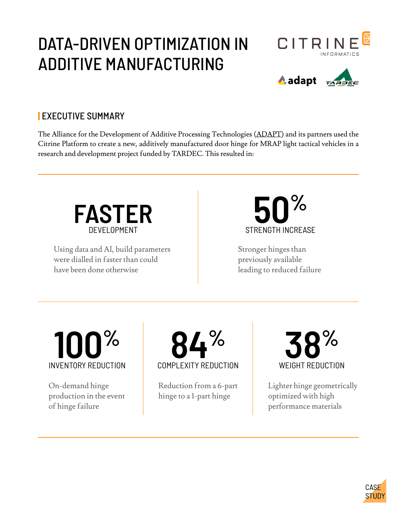# DATA-DRIVEN OPTIMIZATION IN ADDITIVE MANUFACTURING





## **|** EXECUTIVE SUMMARY

The Alliance for the Development of Additive Processing Technologies ([ADAPT\)](https://adapt.mines.edu/) and its partners used the Citrine Platform to create a new, additively manufactured door hinge for MRAP light tactical vehicles in a research and development project funded by TARDEC. This resulted in:



Using data and AI, build parameters were dialled in faster than could have been done otherwise

**50%** STRENGTH INCREASE

Stronger hinges than previously available leading to reduced failure



On-demand hinge production in the event of hinge failure



Reduction from a 6-part hinge to a 1-part hinge



Lighter hinge geometrically optimized with high performance materials

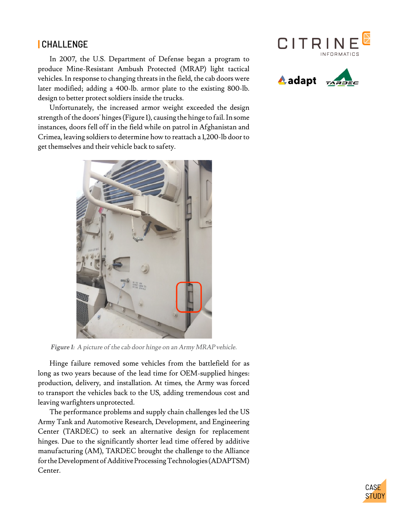### **|** CHALLENGE

In 2007, the U.S. Department of Defense began a program to produce Mine-Resistant Ambush Protected (MRAP) light tactical vehicles. In response to changing threats in the field, the cab doors were later modified; adding a 400-lb. armor plate to the existing 800-lb. design to better protect soldiers inside the trucks.

Unfortunately, the increased armor weight exceeded the design strength of the doors' hinges (Figure 1), causing the hinge to fail. In some instances, doors fell off in the field while on patrol in Afghanistan and Crimea, leaving soldiers to determine how to reattach a 1,200-lb door to get themselves and their vehicle back to safety.



**Figure 1:** A picture of the cab door hinge on an Army MRAP vehicle.

Hinge failure removed some vehicles from the battlefield for as long as two years because of the lead time for OEM-supplied hinges: production, delivery, and installation. At times, the Army was forced to transport the vehicles back to the US, adding tremendous cost and leaving warfighters unprotected.

The performance problems and supply chain challenges led the US Army Tank and Automotive Research, Development, and Engineering Center (TARDEC) to seek an alternative design for replacement hinges. Due to the significantly shorter lead time offered by additive manufacturing (AM), TARDEC brought the challenge to the Alliance for the Development of Additive Processing Technologies (ADAPTSM) Center.





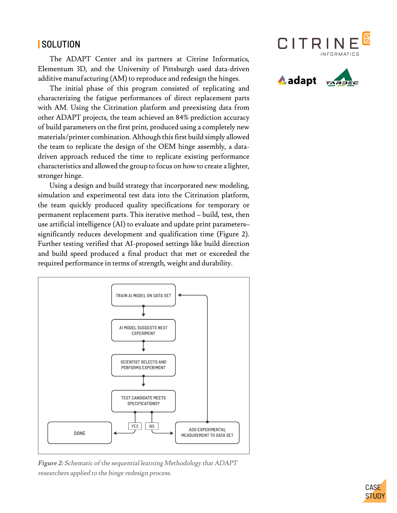### **|** SOLUTION

The ADAPT Center and its partners at Citrine Informatics, Elementum 3D, and the University of Pittsburgh used data-driven additive manufacturing (AM) to reproduce and redesign the hinges.

The initial phase of this program consisted of replicating and characterizing the fatigue performances of direct replacement parts with AM. Using the Citrination platform and preexisting data from other ADAPT projects, the team achieved an 84% prediction accuracy of build parameters on the first print, produced using a completely new materials/printer combination. Although this first build simply allowed the team to replicate the design of the OEM hinge assembly, a datadriven approach reduced the time to replicate existing performance characteristics and allowed the group to focus on how to create a lighter, stronger hinge.

Using a design and build strategy that incorporated new modeling, simulation and experimental test data into the Citrination platform, the team quickly produced quality specifications for temporary or permanent replacement parts. This iterative method – build, test, then use artificial intelligence (AI) to evaluate and update print parameters– significantly reduces development and qualification time (Figure 2). Further testing verified that AI-proposed settings like build direction and build speed produced a final product that met or exceeded the required performance in terms of strength, weight and durability.



**Figure 2:** Schematic of the sequential learning Methodology that ADAPT researchers applied to the hinge redesign process.





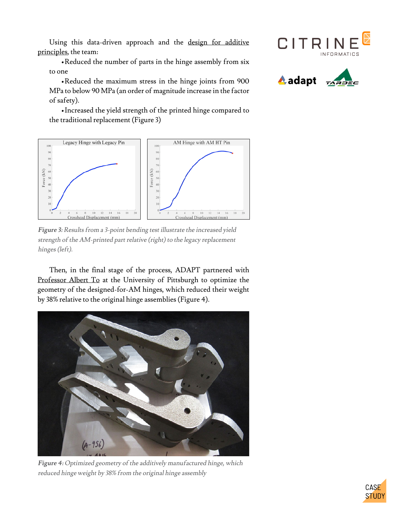Using this data-driven approach and the [design for additive](https://www.researchgate.net/publication/269231954_What_are_Principles_for_Design_for_Additive_Manufacturing) [principles](https://www.researchgate.net/publication/269231954_What_are_Principles_for_Design_for_Additive_Manufacturing), the team:

•Reduced the number of parts in the hinge assembly from six to one

•Reduced the maximum stress in the hinge joints from 900 MPa to below 90 MPa (an order of magnitude increase in the factor of safety).

•Increased the yield strength of the printed hinge compared to the traditional replacement (Figure 3)



**Figure 3:** Results from a 3-point bending test illustrate the increased yield strength of the AM-printed part relative (right) to the legacy replacement hinges (left).

Then, in the final stage of the process, ADAPT partnered with [Professor Albert To](https://www.engineering.pitt.edu/AlbertTo/) at the University of Pittsburgh to optimize the geometry of the designed-for-AM hinges, which reduced their weight by 38% relative to the original hinge assemblies (Figure 4).



**Figure 4:** Optimized geometry of the additively manufactured hinge, which reduced hinge weight by 38% from the original hinge assembly